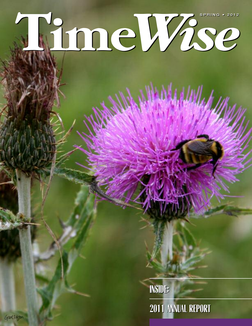# **Time***Wise* **SPRING • 2012**

**INSIDE: INSIDE: 2011 ANNUAL REPORT 2011 ANNUAL REPORT**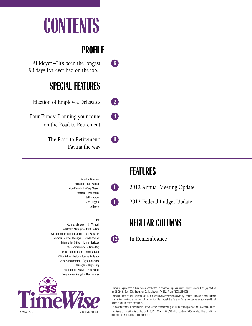# **CONTENTS**

## **PROFILE**

Al Meyer –"It's been the longest **6** 90 days I've ever had on the job."

## **SPECIAL FEATURES**

Election of Employee Delegates **2**

Four Funds: Planning your route **4** on the Road to Retirement

> The Road to Retirement: **9** Paving the way

> > Board of Directors President – Earl Hanson Vice-President – Gary Mearns Directors – Mel Adams Jeff Ambrose Jim Huggard Al Meyer

**Staff** General Manager – Bill Turnbull Investment Manager – Brent Godson Accounting/Investment Officer – Joel Sawatsky Member Services Manager – David Kapeluck Information Officer – Muriel Baribeau Office Administrator – Fiona May Office Administrator – Rhonda Rodh Office Administrator – Joanne Anderson Office Administrator – Gayle Richmond IT Manager – Tanya Lung Programmer Analyst – Rob Peddle Programmer Analyst – Alex Hoffman



## **FEATURES**

**1** <sup>2012</sup> Annual Meeting Opdate

**1** <sup>2012</sup> Federal Budget Update

### **REGULAR COLUMNS**

**12** In Remembrance

TimeWise is published at least twice a year by the Co-operative Superannuation Society Pension Plan (registration no.0345868), Box 1850, Saskatoon, Saskatchewan S7K 3S2. Phone (306) 244-1539.

TimeWise is the official publication of the Co-operative Superannuation Society Pension Plan and is provided free to all active contributing members of the Pension Plan through the Pension Plan's member organizations and to all retired members of the Pension Plan.

Opinion and comment expressed in TimeWise does not necessarily reflect the official policy of the CSS Pension Plan. This issue of TimeWise is printed on RESOLVE COATED GLOSS which contains 50% recycled fibre of which a minimum of 15% is post-consumer waste.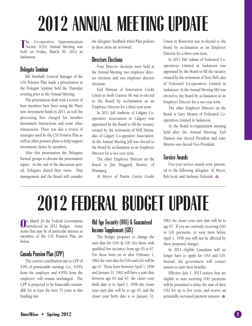# **2012 ANNUAL MEETING UPDATE**

**T** he Co-operative Superannuation Society (CSS) Annual Meeting was held on Friday, March 30, 2012 in Saskatoon.

#### **Delegate Seminar**

Bill Turnbull, General Manager of the CSS Pension Plan made a presentation at the Delegate Seminar held the Thursday evening prior to the Annual Meeting.

The presentation dealt with a review of how members have been using the Plan's new investment funds in 2011, as well the processing fees charged for member Investment Instructions and some other transactions. There was also a review of strategies used by the CSS Pension Plan as well as other pension plans to help support investment choice by members.

After this presentation the Delegates formed groups to discuss the presentation topics. At the end of the discussion period, Delegates shared their views. Plan management and the Board will consider the delegates' feedback when Plan policies in these areas are reviewed.

#### **Directors Elections**

Four Director elections were held at the Annual Meeting: two employee director elections and two employer director elections.

Earl Hanson of Innovation Credit Union in Swift Current SK was re-elected to the Board by acclamation as an Employee Director for a three-year term.

In 2011 Jeff Ambrose of Calgary Cooperative Association in Calgary was appointed by the Board to fill the vacancy created by the retirement of Wilf Harms, also of Calgary Co-operative Association. At the Annual Meeting Jeff was elected to the Board by acclamation as an Employee Director for a two-year term.

The other Employee Director on the Board is Jim Huggard, Retiree, of Winnipeg.

Al Meyer of Prairie Centre Credit

Union in Rosetown was re-elected to the Board by acclamation as an Employer Director for a three-year term.

In 2011 Mel Adams of Federated Cooperatives Limited in Saskatoon was appointed by the Board to fill the vacancy created by the retirement of Terry Bell, also of Federated Co-operatives Limited in Saskatoon. At the Annual Meeting Mel was elected to the Board by acclamation as an Employer Director for a one-year term.

The other Employer Director on the Board is Gary Mearns of Federated Cooperatives Limited in Saskatoon.

At the Board re-organization meeting held after the Annual Meeting, Earl Hanson was elected President and Gary Mearns was elected Vice-President.

#### **Service Awards**

Five-year service awards were presented to the following delegates: Al Meyer; Bob Scott; and Anthony Zulyniak.



**O** n March 29 the Federal Government introduced its 2012 Budget. Some items that may be of particular interest to members of the CSS Pension Plan are below.

#### **Canada Pension Plan (CPP)**

The current contribution rate to CPP of 9.9% of pensionable earnings (i.e., 4.95% from the employee and 4.95% from the employer) will remain unchanged. The CPP is projected to be financially sustainable for at least the next 75 years at this funding rate.

#### **Old Age Security (OAS) & Guaranteed Income Supplement (GIS)**

The Budget proposes to change the start date for OAS & GIS (for those with qualified low incomes) from age 65 to 67. For those born on or after February 1, 1962 the start date for OAS and GIS will be age 67. Those born between April 1, 1958 and January 31, 1962 will have a start date between age 65 and 67; the closer your birth date is to April 1, 1958 the closer your start date will be to age 65, and the closer your birth date is to January 31,

1962 the closer your start date will be to age 67. If you are currently receiving OAS or GIS payments, or were born before April 1, 1958 you will not be affected by these proposed changes.

In 2013 eligible Canadians will no longer have to apply for OAS and GIS. Instead, the government will contact seniors to start their benefits.

Effective July 1, 2013 seniors that are eligible to start receiving OAS payments will be permitted to delay the start of their OAS for up to five years, and receive an actuarially increased payment amount.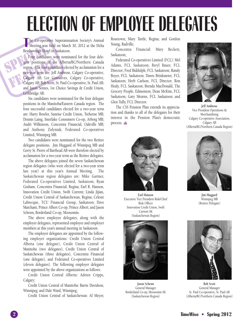# **ELECTION OF EMPLOYEE DELEGATES**

The Co-operative Superannuation Society's Annual<br>Meeting was held on March 30, 2012 at the Delta he Co-operative Superannuation Society's Annual Bessborough Hotel in Saskatoon.

Meeting was<br>Bessborough Hote<br>Four candidat<br>gate positions in<br>region. The four candidat<br>two-year term are gate positions in the region. The four candid<br>
two-year term are: Jeff<br>
Calgary AB; Lee Gor<br>
Calgary AB; Bob Scott, S<br>
Calgary AB; Bob Scott, S<br>
Calgary AB; Bob Scott, S Four candidates were nominated for the four delegate positions in the Alberta/BC/Northern Canada region. The four candidates elected by acclamation for a two-year term are: Jeff Ambrose, Calgary Co-operative, Calgary AB; Lee Gonsalves, Calgary Co-operative, Calgary AB; Bob Scott, St. Paul Co-operative, St. Paul AB; and Jason Sentes, 1st Choice Savings & Credit Union, Lethbridge AB.

> Six candidates were nominated for the four delegate positions in the Manitoba/Eastern Canada region. The four successful candidates elected for a two-year term are: Harry Bowler, Sunrise Credit Union, Treherne MB; Dennis Laing, Interlake Consumers Co-op, Arborg MB; Audri Wilkinson, Concentra Financial, Oakville MB; and Anthony Zulyniak, Federated Co-operatives Limited, Winnipeg MB.

> Two candidates were nominated for the two Retiree delegate positions. Jim Huggard of Winnipeg MB and Gerry St. Pierre of Barrhead AB were therefore elected by acclamation for a two-year term as the Retiree delegates.

> The above delegates joined the seven Saskatchewan region delegates (who were elected for a two-year term last year) at this year's Annual Meeting. The Saskatchewan region delegates are: Mike Gartner, Federated Co-operatives Limited, Saskatoon; Ryan Graham, Concentra Financial, Regina; Earl R. Hanson, Innovation Credit Union, Swift Current; Linda Jijian, Credit Union Central of Saskatchewan, Regina; Celeste Labrecque, TCU Financial Group, Saskatoon; Dave Marchant, Prince Albert Co-op, Prince Albert; and Jason Schenn, Borderland Co-op, Moosomin.

> The above employee delegates, along with the employer delegates, represented employee and employer members at this year's annual meeting in Saskatoon.

> The employer delegates are appointed by the following employer organizations: Credit Union Central Alberta (one delegate), Credit Union Central of Manitoba (two delegates), Credit Union Central of Saskatchewan (three delegates), Concentra Financial (one delegate), and Federated Co-operatives Limited (eleven delegates). The following employer delegates were appointed by the above organizations as follows:

> Credit Union Central Alberta: Adrien Cripps, Calgary;

Credit Union Central of Manitoba: Barrie Davidson, Winnipeg; and Dale Ward, Winnipeg;

Credit Union Central of Saskatchewan: Al Meyer,

Rosetown; Mary Turtle, Regina; and Gordon Young, Radville;

Concentra Financial: Mary Beckett, Saskatoon;

Federated Co-operatives Limited (FCL): Mel Adams, FCL Saskatoon; Beryl Bauer, FCL Director; Fred Biddulph, FCL Saskatoon; Randy Boyer, FCL Saskatoon; Dawn Brinkmeier, FCL Saskatoon; Herb Carlson, FCL Director; Ron Healy, FCL Saskatoon; Brenda MacDonald, The Grocery People, Edmonton; Dean McKim, FCL Saskatoon; Gary Mearns, FCL Saskatoon; and Glen Tully, FCL Director.

The CSS Pension Plan extends its appreciation and thanks to all of the delegates for their interest in the Pension Plan's democratic process. &



**Jeff Ambrose** Vice President Operations & Merchandising Calgary Co-operative Association, Calgary AB (Alberta/BC/Northern Canada Region)



**Earl Hanson** Executive Vice President Risk/Chief Risk Officer Innovation Credit Union, Swift Current SK (Saskatchewan Region)



**Jason Schenn** General Manager Borderland Co-op, Moosomin SK (Saskatchewan Region)



**Jim Huggard** Winnipeg MB (Retiree Delegate)



**Bob Scott** General Manager St. Paul Co-operative, St. Paul AB (Alberta/BC/Northern Canada Region)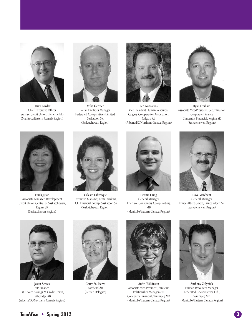

**Harry Bowler** Chief Executive Officer Sunrise Credit Union, Treherne MB (Manitoba/Eastern Canada Region)



**Mike Gartner** Retail Facilities Manager Federated Co-operatives Limited, Saskatoon SK (Saskatchewan Region)



**Lee Gonsalves** Vice President Human Resources Calgary Co-operative Association, Calgary AB (Alberta/BC/Northern Canada Region)



**Ryan Graham** Associate Vice-President, Securitization Corporate Finance Concentra Financial, Regina SK (Saskatchewan Region)



**Linda Jijian** Associate Manager, Development Credit Union Central of Saskatchewan, Regina SK (Saskatchewan Region)



**Celeste Labrecque** Executive Manager, Retail Banking TCU Financial Group, Saskatoon SK (Saskatchewan Region)



**Dennis Laing** General Manager Interlake Consumers Co-op, Arborg MB (Manitoba/Eastern Canada Region)



**Dave Marchant** General Manager Prince Albert Co-op, Prince Albert SK (Saskatchewan Region)



**Jason Sentes** VP Finance 1st Choice Savings & Credit Union, Lethbridge AB (Alberta/BC/Northern Canada Region)



**Gerry St. Pierre** Barrhead AB (Retiree Delegate)



**Audri Wilkinson** Associate Vice-President, Strategic Relationship Management Concentra Financial, Winnipeg MB (Manitoba/Eastern Canada Region)



**Anthony Zulyniak** Human Resources Manager Federated Co-operatives Ltd., Winnipeg MB (Manitoba/Eastern Canada Region)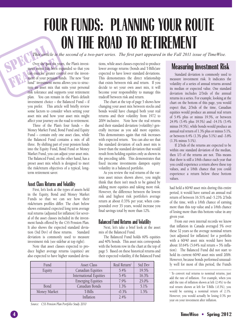# **FOUR FUNDS: PLANNING YOUR ROUTE ON THE ROAD TO RETIREMENT**

This article is the second of a two-part series. The first part appeared in the Fall 2011 issue of TimeWise.

This artic<br>Over the pa Over the past six years, the Plan's investment menu has been expanded so that you can exercise greater control over the investment of your pension funds. The new "four fund" investment menu allows you to structure an asset ment menu has been expanded so that you can exercise greater control over the investment of your pension funds. The new "four fund" investment menu allows you to structure an asset mix that suits your personal risk tolerance and supports your retirement plan. You can remain in the Plan's default investment choice – the Balanced Fund – if you prefer. This article will briefly review some factors to consider when setting your asset mix and how your asset mix might affect your journey on the road to retirement.

> Three of the Plan's four funds – the Money Market Fund, Bond Fund and Equity Fund – contain only one asset class, while the Balanced Fund contains a mix of all three. By shifting part of your pension funds into the Equity Fund, Bond Fund or Money Market Fund, you can adjust your asset mix. The Balanced Fund, on the other hand, has a preset asset mix which is designed to meet the risk/return objectives of a typical, longterm retirement saver.

#### **Asset Class Returns and Volatility**

First, let's look at the types of assets held in the Equity, Bond and Money Market Funds so that we can see how their risk/return profiles differ. The chart below shows estimated expected long term average real returns (adjusted for inflation) for several of the asset classes included in the investment funds offered by the CSS Pension Plan. It also shows the expected standard deviation (Std Dev) of these returns. Standard deviation is commonly used to measure investment risk (see sidebar at top right).

Note that asset classes expected to produce higher average returns (equities) are also expected to have higher standard deviations, while asset classes expected to produce lower average returns (bonds and T-Bills)are expected to have lower standard deviations. This demonstrates the direct relationship that exists between risk and return. If you decide to set your own asset mix, it will become your responsibility to manage this tradeoff between risk and return.

The chart at the top of page 5 shows how changing your asset mix between stocks and bonds would have changed both your real returns and their volatility from 1972 to 2004 inclusive. Note how the real returns and their standard deviation (volatility) generally increase as you add more equities. This demonstrates again that risk increases with expected return. You can also see that the standard deviation of each asset mix is lower than the standard deviation that would result from holding equities only as shown in the preceding table. This demonstrates that fixed income investments dampen equity volatility in a balanced portfolio.

As you review the real returns of the various asset mixes shown above, you might think that there isn't much to be gained by adding more equities and taking more risk. However, the difference between the lowest risk and highest risk portfolio's average return at about 0.35% per year, when compounded over 35 years, would increase you final savings total by more than 12%.

#### **Balanced Fund Returns and Volatility**

Next, let's take a brief look at the asset mix of the Balanced Fund.

The Balanced Fund holds 60% equities and 40% bonds. This asset mix corresponds with the bottom row in the chart at the top of page 5. Based on these historical returns and their expected volatility, if the Balanced Fund

| Fund         | <b>Asset Class</b>            | Real Return <sup>1</sup> | Std Dev |
|--------------|-------------------------------|--------------------------|---------|
| Equity       | Canadian Equities             | 5.4%                     | 19.5%   |
|              | <b>International Equities</b> | 5.4%                     | 16.3%   |
|              | <b>Emerging Equities</b>      | 7.9%                     | 25.0%   |
| <b>Bond</b>  | Canadian Bonds                | 1.3%                     | 5.1%    |
| Money Market | T-Bills                       | $-0.3\%$                 | 1.5%    |
|              | Inflation                     | 2.4%                     |         |

*Source: CSS Pension Plan Portfolio Study 2010*

#### **Measuring Investment Risk**

Standard deviation is commonly used to measure investment risk. It indicates the volatility of a series of annual returns around its median or expected value. One standard deviation includes 2/3rds of the annual returns in a series. For example, looking at the chart on the bottom of this page, you would expect that, 2/3rds of the time, Canadian equities would produce an annual real return of 5.4% plus or minus 19.5%, or between 24.9% (5.4% plus 19.5%) and -14.1% (5.4% minus 19.5%), while bonds would produce an annual real return of 1.3% plus or minus 5.1%, or between 6.4% (1.3% plus 5.1%) and -3.8% (1.3% minus 5.1%).

If 2/3rds of the returns are expected to be within one standard deviation of the median, then 1/3 of the returns are not. This means that there is still a 1/6th chance each year that you could experience a return above these top values, and a 1/6th chance that you could experience a return below these bottom values.

had held a 60/40 asset mix during this entire period, it would have earned an annual real return of between 16.51% and -5.23% 2/3rds of the time, with a 1/6th chance of earning more than this top value and a 1/6th chance of losing more than this bottom value in any given year.

From our own internal records we know that inflation in Canada averaged 5% over these 32 years so the average nominal return (not adjusted for inflation) for a portfolio with a 60/40 asset mix would have been about 10.64% (5.64% real return + 5% inflation). The Balanced Fund did not start to hold its current 60/40 asset mix until 2006. However, because bonds performed unusually well for most of this period, the Fund's

<sup>&</sup>lt;sup>1</sup> To convert real returns to nominal returns, just add the rate of inflation. For example, when you add the rate of inflation shown at left (2.4%) to the real return shown at left for T-Bills (-0.3%), you would be earning a nominal return of 2.1%. However, you would actually be losing 0.3% per year on your investment after inflation.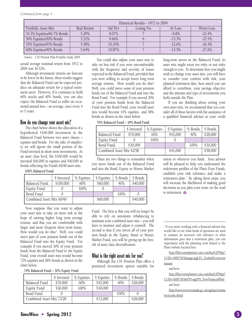| Historical Results - 1972 to 2004 |             |          |            |           |            |
|-----------------------------------|-------------|----------|------------|-----------|------------|
| Portfolio Asset Mix               | Real Return | Std Dev  | Losing Yrs | Av Loss   | Worst Loss |
| 33.3% Equities/66.7% Bonds        | $5.29\%$    | 8.07%    |            | $-9.8\%$  | $-22.4%$   |
| 50% Equities/50% Bonds            | 5.52%       | $9.66\%$ |            | $-13.3\%$ | $-25.5\%$  |
| 55% Equities/45% Bonds            | 5.58%       | 10.24%   |            | $-12.6%$  | $-26.5%$   |
| 60% Equities/40% Bonds            | 5.64%       | 10.87%   |            | $-13.5\%$ | $-27.6%$   |

#### *Source: CSS Pension Plan Portfolio Study 2005*

actual average nominal return from 1972 to 2004 was 10.52%.

Although investment returns are forecast to be lower in the future, these results suggest that the Balanced Fund can be expected produce an adequate return for a typical retirement saver. However, if it continues to hold 60% stocks and 40% bonds, you can also expect the Balanced Fund to suffer an occasional annual loss – on average, once every 4 to 5 years.

#### **How do you change your asset mix?**

The chart below shows the allocation of a hypothetical \$100,000 investment in the Balanced Fund between two asset classes – equities and bonds. For the sake of simplicity we will ignore the small portion of the Fund invested in short term investments. At an asset class level, the \$100,000 would be invested \$60,000 in equities and \$40,000 in bonds reflecting the Fund's 60/40 asset mix.

#### **100% Balanced Fund**

You could also adjust your asset mix to take on less risk if you were uncomfortable with the frequency and severity of losses expected in the Balanced Fund, provided that you were willing to accept lower long term average returns. How would you do this? Well, you could move some of your pension funds out of the Balanced Fund and into the Bond Fund. For example if you moved 30% of your pension funds from the Balanced Fund into the Bond Fund, your overall asset mix would become 42% equities and 58% bonds as shown in the chart below.

**70% Balanced Fund – 30% Bond Fund**

\$ Invested | % Equities | \$ Equities | % Bonds | \$ Bonds Balanced Fund | \$70,000 | 60% | \$42,000 | 40% | \$28,000 Equity Fund 0 100% 0 Bond Fund \$30,000 1000 100 \$30,000 Combined Asset Mix 42/58  $\parallel$  \$42,000  $\parallel$  \$58,000

There are two things to remember when you move funds out of the Balanced Fund and into the Bond, Equity or Money Market

|                          | \$ Invested | % Equities | \$ Equities | % Bonds | \$ Bonds |
|--------------------------|-------------|------------|-------------|---------|----------|
| Balanced Fund            | \$100,000   | 60%        | \$60,000    | 40%     | \$40,000 |
| <b>Equity Fund</b>       |             | 100%       |             |         |          |
| Bond Fund                |             |            |             | 100%    |          |
| Combined Asset Mix 60/40 |             |            | \$60,000    |         | \$40,000 |

Now suppose that you want to adjust your asset mix to take on more risk in the hope of earning higher long term average returns, and that you are comfortable with larger and more frequent short term losses. How would you do this? Well, you could move part of your pension funds out of the Balanced Fund into the Equity Fund. For example if you moved 30% of your pension funds from the Balanced Fund to the Equity Fund, your overall asset mix would become 72% equities and 28% bonds as shown in the chart below.

Fund. The first is that you will no longer be able to rely on automatic rebalancing to maintain your combined asset mix – you will have to monitor and adjust it yourself. The second is that if you invest all of your pension funds in the Equity, Bond or Money Market Fund, you will be giving up the benefit of asset class diversification.

#### **What is the right asset mix for you?**

Although the CSS Pension Plan offers a premixed investment option suitable for

**70% Balanced Fund – 30% Equity Fund**

|                          | \$ Invested | % Equities | \$ Equities | % Bonds | \$ Bonds |
|--------------------------|-------------|------------|-------------|---------|----------|
| Balanced Fund            | \$70,000    | 60%        | \$42,000    | 40%     | \$28,000 |
| Equity Fund              | \$30,000    | 100%       | \$30,000    |         |          |
| Bond Fund                |             |            |             | 100%    |          |
| Combined Asset Mix 72/28 |             |            | \$72,000    |         | \$28,000 |

long-term savers in the Balanced Fund, its asset mix might seem too risky or not risky enough to you. To determine how you might wish to change your asset mix, you will have to consider your comfort with risk, your planned retirement date, how much you can afford to contribute, your savings objective and the amount and type of investments you hold outside the Plan.

If you are thinking about setting your own asset mix, we recommend that you consider all of these factors with the assistance of a qualified financial advisor at your credit

union or wherever you bank. Your advisor will be pleased to help you understand the risk/return profiles of the Plan's Four Funds, establish your risk tolerance and make a retirement plan. <sup>2</sup> By taking these steps, you will increase the likelihood of making good decisions as you plan your route on the road to retirement.

<sup>2</sup> If you aren't working with a financial advisor but would like to see what kinds of questions are used to estimate an investor's risk tolerance or what information goes into a retirement plan, you can experiment with the planning tools linked to the Plan's website located here:

http://lifeeventsplanner.cuis.com/lep/LEPMgr? CUID=10007565&page=pgLEC\_Tools&Event=reti

rement and here:

http://lifeeventsplanner.cuis.com/lep/LEPMgr? CUID=10007565&FPS=pgFPS\_NewFinancialPlan

and here:

http://www.servicecanada.gc.ca/eng/isp/commo n/cricinfo.shtml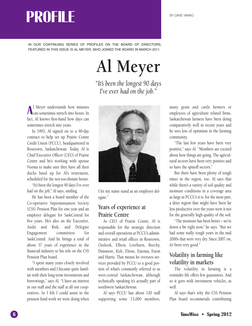# **PROFILE**

IN OUR CONTINUING SERIES OF PROFILES ON THE BOARD OF DIRECTORS, FEATURED IN THIS ISSUE IS AL MEYER, WHO JOINED THE BOARD IN MARCH 2011.

# **Al Meyer**

*"It's been the longest 90 days I've ever had on the job."*

**A**<sup>1</sup> Meyer understands how minutes l Meyer understands how minutes fact, Al knows first-hand how days can sometimes stretch into years.

In 1993, Al signed on to a 90-day contract to help set up Prairie Centre Credit Union (PCCU), headquartered in Rosetown, Saskatchewan. Today, Al is Chief Executive Officer (CEO) of Prairie Centre and he's working with spouse Norma to make sure they have all their ducks lined up for Al's retirement, scheduled for the not-too-distant future.

"It's been the longest 90 days I've ever had on the job," Al says, smiling.

He has been a board member of the Co-operative Superannuation Society (CSS) Pension Plan for one year and an employer delegate for SaskCentral for five years. He's also on the Executive, Audit and Risk, and Delegate Engagement committees for SaskCentral. And he brings a total of about 37 years of experience in the financial industry to his role on the CSS Pension Plan board.

"I spent many years closely involved with members and I became quite familiar with their long-term investments and borrowings,'' says Al. "I have an interest in our staff and the staff at all our cooperatives. So I felt I could assist in the pension fund work we were doing when



I let my name stand as an employer delegate.''

#### **Years of experience at Prairie Centre**

As CEO of Prairie Centre, Al is responsible for the strategic direction and overall operations at PCCU's administrative and retail offices in Rosetown, Outlook, Elbow, Loreburn, Beechy, Dinsmore, Kyle, Elrose, Eatonia, Eston and Harris. That means he oversees services provided by PCCU to a good portion of what's commonly referred to as west-central Saskatchewan, although technically speaking it's actually part of southwest Saskatchewan.

Al says PCCU has about 120 staff supporting some 13,000 members, many grain and cattle farmers or employees of agriculture related firms. Saskatchewan farmers have been doing comparatively well in recent years and he sees lots of optimism in the farming community.

"The last few years have been very positive,'' says Al. "Members are excited about how things are going. The agricultural sectors have been very positive and so have the spinoff sectors.''

But there have been plenty of tough times in the region, too. Al says that while there's a variety of soil quality and moisture conditions in a coverage area as large as PCCU's it is, for the most part, a drier region that might have been far less productive over the years were it not for the generally high quality of the soil.

"The moisture has been better – we're down a bit right now,'' he says. "But we had some really tough years in the mid 2000s that were very dry. Since 2007 on, it's been very good.''

#### **Volatility in farming like volatility in markets**

The volatility in farming is a reminder life offers few guarantees. And so it goes with investment vehicles, as well.

Al says that's why the CSS Pension Plan board recommends contributing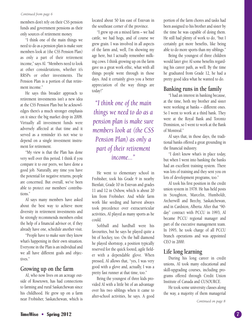#### *Continued from page 6*

members don't rely on their CSS pension funds and government pensions as their only sources of retirement money.

"I think one of the main things we need to do as a pension plan is make sure members look at (the CSS Pension Plan) as only a part of their retirement income,'' says Al. "Members need to look at other considerations, whether it's RRSPs or other investments. The Pension Plan is a portion of that retirement income.''

He says this broader approach to retirement investments isn't a new idea at the CSS Pension Plan but he acknowledges there's a much stronger emphasis on it since the big market drop in 2008. Virtually all investment funds were adversely affected at that time and it served as a reminder it's not wise to depend on a single investment instrument for retirement.

"My view is that the Plan has done very well over this period. I think if you compare it to our peers, we have done a good job. Naturally, any time you have the potential for negative returns, people are concerned. But overall, we've been able to protect our members' contributions.''

Al says many members have asked about the best way to achieve more diversity in retirement investments and he strongly recommends members enlist the help of a financial advisor or, if they already have one, schedule another visit.

"People have to make sure they know what's happening in their own situation. Everyone in the Plan is an individual and we all have different goals and objectives.''

#### **Growing up on the farm**

Al, who now lives on an acreage outside of Rosetown, has had connections to farming and rural Saskatchewan since his childhood. He grew up on a farm near Frobisher, Saskatchewan, which is

located about 50 km east of Estevan in the southeast corner of the province.

"I grew up on a mixed farm – we had cattle, we had hogs, and of course we grew grain. I was involved in all aspects of the farm and, well, I'm showing my age here, but I actually remember milking cows. I think growing up on the farm gave us a great work ethic, what with all things people went through in those days. And it certainly gives you a better appreciation of the way things are today!''

*"I think one of the main things we need to do as a pension plan is make sure members look at (the CSS Pension Plan) as only a part of their retirement income..."*

He went to elementary school in Frobisher, took his Grade 9 in nearby Bienfait, Grade 10 in Estevan and grades 11 and 12 in Oxbow, which is about 20 km from Frobisher. And while farm work like seeding and harvest always took precedence over extracurricular activities, Al played as many sports as he could.

Softball and hardball were his favourites, but he says he played quite a bit of hockey, too. On the ball diamond he played shortstop, a position typically reserved for the quick footed, agile fielder with a dependable glove. When pressed, Al allows that, "yes, I was very good with a glove and, actually, I was a pretty fast runner at that time, too.''

Being the youngest of three kids provided Al with a little bit of an advantage over his two siblings when it came to after-school activities, he says. A good portion of the farm chores and tasks had been assigned to his brother and sister by the time he was capable of doing them. He still had plenty of work to do, "but I certainly got more benefits, like being able to do more sports than my siblings.''

Being the youngest of three children would later give Al some benefits regarding his career path, as well. By the time he graduated from Grade 12, he had a pretty good idea what he wanted to do.

#### **Banking runs in the family**

"I had an interest in banking because, at the time, both my brother and sister were working at banks – different ones. So I went to work at a third bank. They were at the Royal Bank and Toronto Dominion, so I went to work at the Bank of Montreal.''

Al says that, in those days, the traditional banks offered a great grounding in the financial industry.

"I don't know what's in place today, but when I went into banking the banks had an excellent training system. There was lots of training and they sent you on lots of development programs, too.''

Al took his first position in the credit union system in 1978. He has held posts in Stoughton, Marcelin, Humboldt, Archerwill and Beechy, Saskatchewan, and in Cardston, Alberta. After that "90 day'' contract with PCCU in 1993, Al became PCCU regional manager and part of the executive management team. In 1995, he took charge of all PCCU branch operations and was appointed CEO in 2000.

#### **Life long learning**

During his long career in credit unions, Al took many educational and skill-upgrading courses, including programs offered through Credit Union Institute of Canada and CUSOURCE.

He took some university classes along the way, a majority of them managerial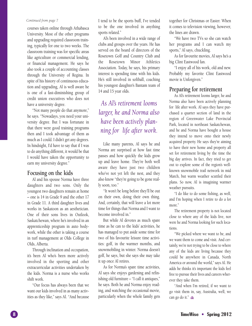#### *Continued from page 7*

courses taken online through Athabasca University. Most of the other programs and upgrading required classroom training, typically for one to two weeks. The classroom training was for specific areas like agriculture or commercial lending, or financial management. He says he also took a couple of accounting classes through the University of Regina. In spite of his history of continuous education and upgrading, Al is well aware he is one of a fast-diminishing group of credit union executives who does not have a university degree.

"Not many people do that anymore,'' he says. "Nowadays, you need your university degree. But I was fortunate in that there were good training programs then and I took advantage of them as much as I could. I didn't get any degrees. In hindsight, I'd have to say that if I was to do anything different, it would be that I would have taken the opportunity to earn my university degree.''

#### **Focusing on the kids**

Al and his spouse Norma have three daughters and two sons. Only the youngest two daughters remain at home – one is 14 in Grade 9 and the other 17 in Grade 11. A third daughter lives and works in Saskatoon as an aesthetician. One of their sons lives in Outlook, Saskatchewan, where he's involved in an apprenticeship program in auto bodywork, while the other is taking a course in turf management at Olds College in Olds, Alberta.

Through inclination and occupation, it's been Al who's been more actively involved in the sporting and other extracurricular activities undertaken by the kids. Norma is a nurse who works shift work.

"Our focus has always been that we want our kids involved in as many activities as they like,'' says Al. "And because

I tend to be the sports buff, I've tended to be the one involved in anything sports related.''

Al's been involved in a wide range of clubs and groups over the years. He has served on the board of directors of the Rosetown Golf and Country Club and the Rosetown Minor Athletics Association. Today, he says, his primary interest is spending time with his kids. He's still involved in softball, coaching his youngest daughter's Bantam team of 14 and 15 year olds.

#### *As Al's retirement looms larger, he and Norma also have been actively planning for life after work.*

Like many parents, Al says he and Norma are surprised at how fast time passes and how quickly the kids grow up and leave home. They're both well aware they have just two children who've not yet left the nest, and they also know "they're going to be gone really soon, too.''

"It won't be long before they'll be out on their own, doing their own thing. And, certainly, that will leave a lot more time for things that Norma and I want to become involved in.''

But while Al devotes as much spare time as he can to the kids' activities, he has managed to put aside some time for two of his favourite leisure time activities: golf, in the warmer months, and snowmobiling in winter. Norma doesn't golf, he says, but she says she may take it up once Al retires.

As for Norma's spare time activities, Al says she enjoys gardening and refinishing old furniture – "I call it antiques,'' he says. Both he and Norma enjoy reading, and watching the occasional movie, particularly when the whole family gets

together for Christmas or Easter. When it comes to television viewing, however, the lines are drawn.

"We have two TVs so she can watch her programs and I can watch my sports,'' Al says, chuckling.

As for favourite movies, Al says he's a big Clint Eastwood fan.

"I enjoy all of his work, old and new. Probably my favorite Clint Eastwood movie is Unforgiven.''

#### **Preparing for retirement**

As Al's retirement looms larger, he and Norma also have been actively planning for life after work. Al says they have purchased a quarter section of land in the region of Greenwater Lake Provincial Park, located in northeast Saskatchewan, and he and Norma have bought a house they intend to move onto their newly acquired property. He says they're aiming to have their new home and property all set for retirement living by the time the big day arrives. In fact, they tried to get out to explore some of the region's wellknown snowmobile trail network in mid March, but warm weather scuttled their plans. So now, Al is imagining warmer weather pursuits.

"I do like to do some fishing, as well, and I'm hoping when I retire to do a lot more."

The retirement property is not located close to where any of the kids live, nor were he and Norma looking for such locations.

"We picked where we want to be, and we want them to come and visit. And certainly, we're not trying to be close to where any of the kids are living because they could be anywhere in Canada, North America or around the world,'' says Al. He adds he thinks it's important the kids feel free to pursue their lives and careers wherever they take them.

"And when I'm retired, if we want to go visit them in, say, Australia, well, we can go do it.''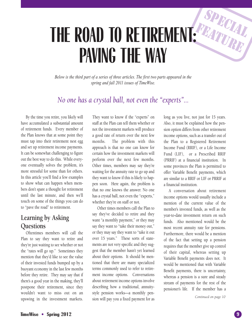## **FE THE ROAD TO RETIREMENT: PAVING THE WAY**

*Below is the third part of a series of three articles. The first two parts appeared in the spring and fall 2011 issues of TimeWise.*

#### *No one has a crystal ball, not even the "experts"...*

By the time you retire, you likely will have accumulated a substantial amount of retirement funds. Every member of the Plan knows that at some point they must tap into their retirement nest egg and set up retirement income payments. It can be somewhat challenging to figure out the best way to do this. While everyone eventually solves the problem, it's more stressful for some than for others. In this article you'll find a few examples to show what can happen when members don't spare a thought for retirement until the last minute, and then we'll touch on some of the things you can do to "pave the road" to retirement.

#### **Learning by Asking Questions**

Oftentimes members will call the Plan to say they want to retire and they're just waiting to see whether or not the "rates will go up." Sometimes they mention that they'd like to see the value of their invested funds bumped up by a buoyant economy in the last few months before they retire. They may say that if there's a good year in the making, they'll postpone their retirement, since they wouldn't want to miss out on an upswing in the investment markets.

They want to know if the "experts" on staff at the Plan can tell them whether or not the investment markets will produce a good rate of return over the next few months. The problem with this approach is that no one can know for certain how the investment markets will perform over the next few months. Other times, members may say they're waiting for the annuity rate to go up and they want to know if this is likely to happen soon. Here again, the problem is that no one knows the answer. No one has a crystal ball, not even the "experts," whether they're on staff or not.

Other times members call the Plan to say they've decided to retire and they want "a monthly payment," or they may say they want to "take their money out," or they may say they want to "take it out over 15 years." These sorts of statements are not very specific and they suggest that the member hasn't yet learned about their options. It should be mentioned that there are many specialized terms commonly used to refer to retirement income options. Conversations about retirement income options involve describing how a traditional, annuitystyle pension works—a monthly pension will pay you a fixed payment for as

long as you live, not just for 15 years. Also, it must be explained how the pension option differs from other retirement income options, such as a transfer out of the Plan to a Registered Retirement Income Fund (RRIF), or a Life Income Fund (LIF), or a Prescribed RRIF (PRRIF) at a financial institution. In some provinces the Plan is permitted to offer Variable Benefit payments, which are similar to a RRIF or LIF or PRRIF at a financial institution.

**S**

**A PECIAL**

**TURE**

A conversation about retirement income options would usually include a mention of the current value of the member's invested funds, as well as the year-to-date investment return on such funds. Also mentioned would be the most recent annuity rate for pensions. Furthermore, there would be a mention of the fact that setting up a pension requires that the member give up control of their capital, whereas setting up Variable Benefit payments does not. It would be mentioned that with Variable Benefit payments, there is uncertainty, whereas a pension is a sure and steady stream of payments for the rest of the pensioner's life. If the member has a

*Continued on page 10*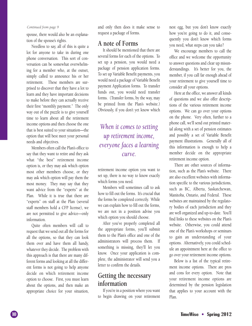#### *Continued from page 9*

spouse, there would also be an explanation of the spouse's rights.

Needless to say, all of this is quite a lot for anyone to take in during one phone conversation. This sort of conversation can be somewhat overwhelming for a member who, at the outset, simply called to announce his or her retirement. These members are surprised to discover that they have a lot to learn and they have important decisions to make before they can actually receive their first "monthly payment." The only way out of the puzzle is to give yourself time to learn about all the retirement income options and then choose the one that is best suited to your situation—the option that will best meet your personal needs and objectives.

Members often call the Plan's office to say that they want to retire and they ask what "the best" retirement income option is, or they may ask which option most other members choose, or they may ask which option will pay them the most money. They may say that they want advice from the "experts" at the Plan. While it is true that there are "experts" on staff at the Plan (several staff members hold a CFP license), we are not permitted to give advice—only information.

Quite often members will call to request that we send out all the forms for all the options, so that they can look them over and have them all handy, whatever they decide. The problem with this approach is that there are many different forms and looking at all the different forms is not going to help anyone decide on which retirement income option to choose. First, you must learn about the options, and then make an appropriate choice for your situation, and only then does it make sense to request a package of forms.

#### **A note of Forms**

It should be mentioned that there are several forms for each of the options. To set up a pension, you would need a package of pension application forms. To set up Variable Benefit payments, you would need a package of Variable Benefit payment Application forms. To transfer funds out, you would need transfer forms. (Transfer forms, by the way, may be printed from the Plan's website.) Obviously, if you don't yet know which

#### *When it comes to setting up retirement income, everyone faces a learning curve.*

retirement income option you want to set up, there is no way to know exactly which forms you need.

Members will sometimes call to ask how to fill out the forms. It's crucial that the forms be completed correctly. While we can explain how to fill out the forms, we are not in a position advise you which option you should choose.

After you've properly completed all the appropriate forms, you'll submit them to the Plan's office and one of the administrators will process them. If something is missing, they'll let you know. Once your application is complete, the administrator will send you a letter to confirm the details.

#### **Getting the necessary information**

If you're in a position where you want to begin drawing on your retirement

nest egg, but you don't know exactly how you're going to do it, and consequently you don't know which forms you need, what steps can you take?

We encourage members to call the office and we welcome the opportunity to answer questions and clear up misunderstandings. It's better for you, the member, if you call far enough ahead of your retirement to give yourself time to consider all your options.

Here at the office, we answer all kinds of questions and we also offer descriptions of the various retirement income options. We can go over your options on the phone. Very often, further to a phone call, we'll send out printed material along with a set of pension estimates and possibly a set of Variable Benefit payment illustrations. Generally all of this information is enough to help a member decide on the appropriate retirement income option.

There are other sources of information, such as the Plan's website. There are also excellent websites with information specific to the various jurisdictions, such as BC, Alberta, Saskatchewan, Manitoba, Ontario, and Federal. These websites are maintained by the regulatory bodies of each jurisdiction and they are well organized and up-to-date. You'll find links to these websites on the Plan's website. Otherwise, you could attend one of the Plan's workshops or seminars to gain an understanding of your options. Alternatively, you could schedule an appointment here at the office to go over your retirement income options.

Below is a list of the typical retirement income options. There are pros and cons for every option. Note that your retirement income options are determined by the pension legislation that applies to your account with the Plan.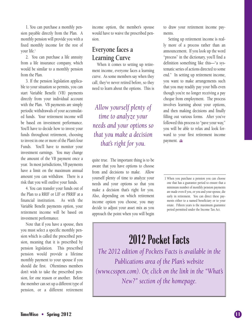1. You can purchase a monthly pension payable directly from the Plan. A monthly pension will provide you with a fixed monthly income for the rest of your life. 1

2. You can purchase a life annuity from a life insurance company, which would be similar to a monthly pension from the Plan.

3. If the pension legislation applicable to your situation so permits, you can start Variable Benefit (VB) payments directly from your individual account with the Plan. VB payments are simply periodic withdrawals of your accumulated funds. Your retirement income will be based on investment performance. You'll have to decide how to invest your funds throughout retirement, choosing to invest in one or more of the Plan's four Funds. You'll have to monitor your investment earnings. You may change the amount of the VB payment once a year. In most jurisdictions, VB payments have a limit on the maximum annual amount you can withdraw. There is a risk that you will outlive your funds.

4. You can transfer your funds out of the Plan to a RRIF or LIF or PRRIF at a financial institution. As with the Variable Benefit payments option, your retirement income will be based on investment performance.

Note that if you have a spouse, then you must select a specific monthly pension which is called the prescribed pension, meaning that it is prescribed by pension legislation. This prescribed pension would provide a lifetime monthly payment to your spouse if you should die first. Oftentimes members don't wish to take the prescribed pension, for one reason or another. Before the member can set up a different type of pension, or a different retirement income option, the member's spouse would have to waive the prescribed pension.

#### **Everyone faces a Learning Curve**

When it comes to setting up retirement income, everyone faces a learning curve. As some members say when they call, they've never retired before, so they need to learn about the options. This is

*Allow yourself plenty of time to analyze your needs and your options so that you make a decision that's right for you.*

quite true. The important thing is to be aware that you have options to choose from and decisions to make. Allow yourself plenty of time to analyze your needs and your options so that you make a decision that's right for you. Also, depending on which retirement income option you choose, you may decide to adjust your asset mix as you approach the point when you will begin to draw your retirement income payments.

Setting up retirement income is really more of a process rather than an announcement. If you look up the word "process" in the dictionary, you'll find a definition something like this—"a systematic series of actions directed to some end." In setting up retirement income, you want to make arrangements such that you may readily pay your bills even though you're no longer receiving a pay cheque from employment. The process involves learning about your options, and then making decisions and finally filling out various forms. After you've followed this process to "pave your way," you will be able to relax and look forward to your first retirement income payment.

1 When you purchase a pension you can choose one that has a guarantee period to ensure that a minimum number of monthly pension payments are made even if you, or you and your spouse, die early in retirement. You can direct these payments either to a named beneficiary or to your estate. Fifteen years is the maximum guarantee period permitted under the Income Tax Act.

## **2012 Pocket Facts**

*The 2012 edition of Pockets Facts is available in the Publications area of the Plan's website (www.csspen.com). Or, click on the link in the "What's New?" section of the homepage.*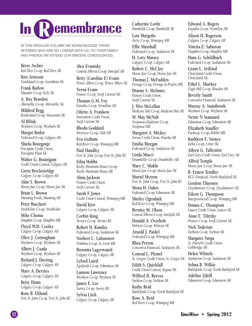# **R In expanding Property**

IN THIS REGULAR COLUMN WE ACKNOWLEDGE THOSE RETIREES WHO ARE NO LONGER WITH US. TO THEIR FAMILY AND FRIENDS WE EXTEND OUR SINCERE CONDOLENCES.

**Betsy Archer** *Red Deer Co-op, Red Deer AB*

**Ken Arneson** *Southland Co-op, Assiniboia SK*

**Frank Barlow** *Matador Co-op, Kyle SK*

**A. Roy Bearden** *Abernethy Co-op, Abernethy SK*

**Mildred Begg** *Borderland Co-op, Moosomin SK*

**Al Biliak** *Weyburn Co-op, Weyburn SK*

**Margot Bodor** *Federated Co-op, Calgary AB*

**Shiela Bourgonje** *Porcupine Credit Union, Porcupine Plain SK*

**Walter G. Brautigam** *Credit Union Central, Calgary AB*

**Greta Breckenridge** *Calgary Co-op, Calgary AB*

**Alan S. Brown** *Moose Jaw Co-op, Moose Jaw SK*

**Brian L. Brown** *Manning Foods, Manning AB*

**Peter Bueckert** *Strathclair Co-op, Strathclair*

**Mike Choma** *Dauphin Co-op, Dauphin MB*

**Floyd W.D. Cooley** *Calgary Co-op, Calgary AB*

**Olive J. Cottingham** *Weyburn Co-op, Weyburn SK*

**Albert J. Csada** *Weyburn Co-op, Weyburn SK*

**Richard J. Deering** *Calgary Co-op, Calgary AB*

**Mary A. Devries** *Calgary Co-op, Calgary AB*

**Betty Dunn** *Calgary Co-op, Calgary AB*

**Rose B. Eklund** *Fort St. John Co-op, Fort St. John BC* **Alex Evanisky** *Central Alberta Co-op, Innisfail AB*

**Betty (Caroline E) Evans** *Prince Albert Co-op, Prince Albert SK*

**Verna Evans** *Pioneer Co-op, Swift Current SK*

**Thomas G.M. Foy** *Eastalta Co-op, Vermilion AB*

**Odette A. Frankow** *Innovation Credit Union, Swift Current SK*

**Rhoda Goddard** *Westview Co-op, Olds AB*

**Eva Graham** *Red River Co-op, Winnipeg MB*

**Paul Handley** *Fort St. John Co-op, Fort St. John BC*

**Edna Hobbs** *Rocky Mountain House Co-op, Rocky Mountain House AB*

**Alma Jackson** *Pioneer Credit Union, Swift Current SK*

**Sarah F. Jones** *Credit Union Central, Winnipeg MB*

**David Kerr** *Calgary Co-op, Calgary AB*

**Corbin King** *Terrace Co-op, Terrace BC*

**Robert D. Kondra** *Federated Co-op, Saskatoon SK*

**Norbert C. Labossiere** *Pembina Co-op, St. Leon MB*

**Broonita Lagerwaard** *Calgary Co-op, Calgary AB*

**Lyford Laird** *Agrifoods Co-op, Edmonton AB*

**Lannon Lawrence** *Weyburn Co-op, Weyburn SK*

**James E. Lee** *Surrey Co-op, Surrey BC* **Sylvia Liick** *Calgary Co-op, Calgary AB* **Catherine Loehr** *Humboldt Co-op, Humboldt SK*

**Lois Margolis** *Arctic Co-op, Winnipeg MB*

**Effie Marshall** *Federated Co-op, Saskatoon SK*

**H. Lory Massey** *Calgary Co-op, Calgary AB*

**Robert C. McCloy** *Moose Jaw Co-op, Moose Jaw SK*

**Thomas J. McFadden** *Portage Co-op, Portage la Prairie MB*

**Dianne L. McInnes** *Pioneer Credit Union, Swift Current SK*

**J. Wes McLellan** *Medicine Hat Co-op, Medicine Hat AB*

**M. May McNab** *Neepawa-Gladstone Co-op, Neepawa MB*

**Margaret A. Mickey** *Servus Credit Union, Ponoka AB*

**Emilia Morgan** *Federated Co-op, Saskatoon SK*

**Linda Mucci** *Drumheller Co-op, Drumheller AB*

**Mary C. Muhle** *Moose Jaw Co-op, Moose Jaw SK*

**Muriel Mytron** *Fort St. John Co-op, Fort St. John BC*

**Mona H. Oakes** *Federated Co-op, Edmonton AB*

**Shirley Ogrodnik** *Red River Co-op, Winnipeg MB*

**Bernice M. Olson** *Central Alberta Co-op, Innisfail AB*

**Donald A. Overholt** *Welwyn Co-op, Welwyn SK*

**Arnold J. Paidel** *Federated Co-op, Winnipeg MB*

**Rhea Perron** *Concentra Financial, Saskatoon SK*

**Conrad L. Plemel** *St. Gregor Credit Union, St. Gregor SK* **Edith S. Quickfall**

*Credit Union Central, Regina SK*

**Wilfred D. Reeves** *Yorkton Co-op, Yorkton SK*

**Kathy Reid** *Battlefords Co-op, North Battleford SK*

**Rose A. Reid** *Red River Co-op, Winnipeg MB* **Edward A. Rogers** *Eastalta Co-op, Vermilion AB*

**Alison H. Rogerson** *Calgary Co-op, Calgary AB*

**Vinetta E. Sabiston** *Dauphin Co-op, Dauphin MB*

**Hans G. Schildbach** *Federated Co-op, Saskatoon SK*

**Grant L. Seifried** *Choiceland Credit Union, Choiceland SK*

**Ethel L. Sharkey** *Eagle Hill Co-op, Bowden AB*

**Beverly Smith** *Concentra Financial, Saskatoon SK*

**Murray A. Stainbrook** *Weyburn Co-op, Weyburn SK*

**Nettie N Stannard** *Edmonton Co-op, Edmonton AB*

**Elizabeth Stauffer** *Parkway Co-op, Roblin MB*

**Kathleen E. Stoney** *Delta Co-op, Unity SK*

**Aileen G. Tallentire** *Earl Grey Credit Union, Earl Grey SK*

**Alfred Temple** *Moose Jaw Co-op, Moose Jaw SK*

**B. Ernest Tendler** *BCU Financial, North Battleford SK*

**Gordon Thiessen** *Lloydminster Co-op, Lloydminster SK*

**Eileen G. Thompson** *Interprovincial Co-op, Winnipeg MB*

**Donna C. Thompson** *Lancer Credit Union, Lancer SK*

**Anne E. Tilitzky** *Pioneer Co-op, Swift Current SK*

**Nick Toderian** *Yorkton Co-op, Yorkton SK*

**Margaret Varga** *St. Patrick's Credit Union, Lethbridge AB*

**Helen Whitely** *Saskatoon Co-op, Saskatoon SK*

**Selma B. Wilkie** *Battlefords Co-op, North Battleford SK*

**Adeline Zdrill** *Edmonton Co-op, Edmonton AB*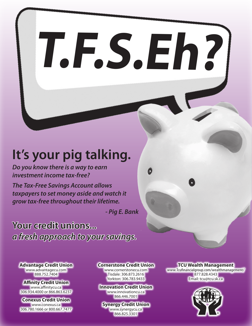# **T.F.S.Eh?**

# **It's your pig talking.**

*Do you know there is a way to earn investment income tax-free?*

*The Tax-Free Savings Account allows taxpayers to set money aside and watch it grow tax-free throughout their lifetime.*

*- Pig E. Bank*

**Your credit unions...** *a fresh approach to your savings.*

**Advantage Credit Union** www.advantagecu.com 888.752.7404

**Affinity Credit Union** www.affinitycu.ca 306.934.4000 or 866.863.6237

**Conexus Credit Union** www.conexus.ca 306.780.1666 or 800.667.7477

#### **Cornerstone Credit Union**

www.cornerstonecu.com Tisdale: 306.873.2616 Yorkton: 306.783.9433

**Innovation Credit Union** www.innovationcu.ca 866.446.7001

#### **Synergy Credit Union** www.synergycu.ca 866.825.3301

#### **TCU Wealth Management**

www.Tcufinancialgroup.com/wealthmanagement/ 877.828.4343 Email: tcu@tcu.sk.ca